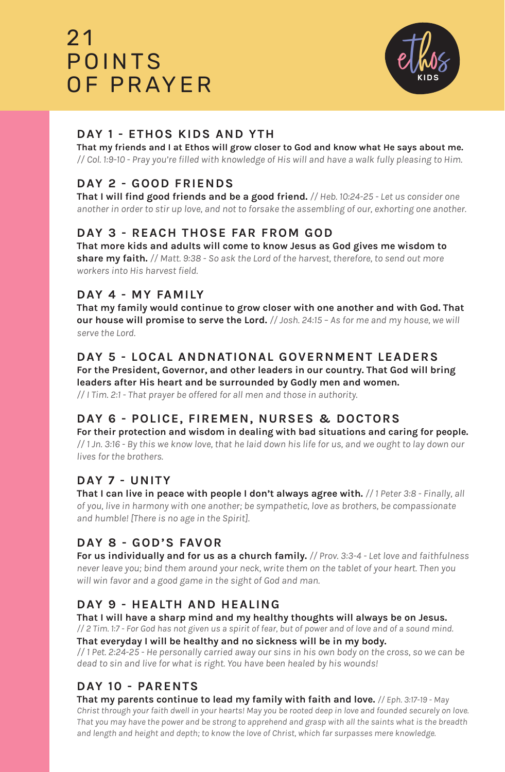# $21$ POINTS OF PRAYER



## **DAY 1 - ETHOS KIDS AND YTH**

**That my friends and I at Ethos will grow closer to God and know what He says about me.** *// Col. 1:9-10 - Pray you're filled with knowledge of His will and have a walk fully pleasing to Him.*

## **DAY 2 - GOOD FRIENDS**

**That I will find good friends and be a good friend.** *// Heb. 10:24-25 - Let us consider one another in order to stir up love, and not to forsake the assembling of our, exhorting one another.*

## **DAY 3 - REACH THOSE FAR FROM GOD**

**That more kids and adults will come to know Jesus as God gives me wisdom to share my faith.** *// Matt. 9:38 - So ask the Lord of the harvest, therefore, to send out more workers into His harvest field.*

#### **DAY 4 - MY FAMILY**

**That my family would continue to grow closer with one another and with God. That our house will promise to serve the Lord.** *// Josh. 24:15 – As for me and my house, we will serve the Lord.*

#### **DAY 5 - LOCAL ANDNATIONAL GOVERNMENT LEADERS**

**For the President, Governor, and other leaders in our country. That God will bring leaders after His heart and be surrounded by Godly men and women.**

*// I Tim. 2:1 - That prayer be offered for all men and those in authority.* 

## **DAY 6 - POLICE, FIREMEN, NURSES & DOCTORS**

**For their protection and wisdom in dealing with bad situations and caring for people.** *// 1 Jn. 3:16 - By this we know love, that he laid down his life for us, and we ought to lay down our lives for the brothers.* 

#### **DAY 7 - UNITY**

**That I can live in peace with people I don't always agree with.** *// 1 Peter 3:8 - Finally, all of you, live in harmony with one another; be sympathetic, love as brothers, be compassionate and humble! [There is no age in the Spirit].*

#### **DAY 8 - GOD'S FAVOR**

**For us individually and for us as a church family.** *// Prov. 3:3-4 - Let love and faithfulness never leave you; bind them around your neck, write them on the tablet of your heart. Then you will win favor and a good game in the sight of God and man.*

#### **DAY 9 - HEALTH AND HEALING**

**That I will have a sharp mind and my healthy thoughts will always be on Jesus.**  *// 2 Tim. 1:7 - For God has not given us a spirit of fear, but of power and of love and of a sound mind.*

**That everyday I will be healthy and no sickness will be in my body.**

*// 1 Pet. 2:24-25 - He personally carried away our sins in his own body on the cross, so we can be dead to sin and live for what is right. You have been healed by his wounds!* 

#### **DAY 10 - PARENTS**

**That my parents continue to lead my family with faith and love.** *// Eph. 3:17-19 - May Christ through your faith dwell in your hearts! May you be rooted deep in love and founded securely on love. That you may have the power and be strong to apprehend and grasp with all the saints what is the breadth and length and height and depth; to know the love of Christ, which far surpasses mere knowledge.*